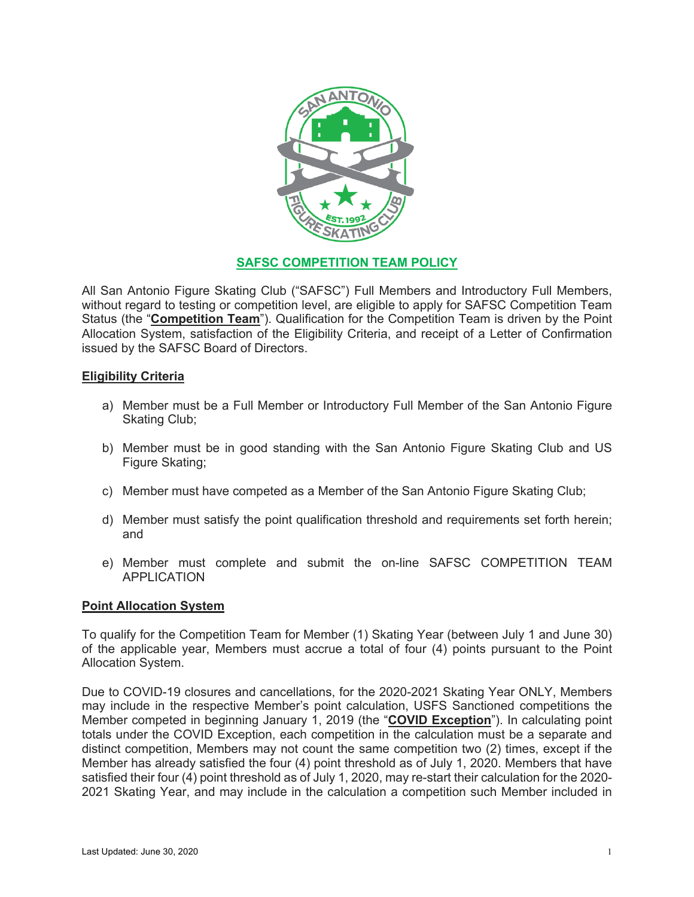

## **SAFSC COMPETITION TEAM POLICY**

All San Antonio Figure Skating Club ("SAFSC") Full Members and Introductory Full Members, without regard to testing or competition level, are eligible to apply for SAFSC Competition Team Status (the "**Competition Team**"). Qualification for the Competition Team is driven by the Point Allocation System, satisfaction of the Eligibility Criteria, and receipt of a Letter of Confirmation issued by the SAFSC Board of Directors.

## **Eligibility Criteria**

- a) Member must be a Full Member or Introductory Full Member of the San Antonio Figure Skating Club;
- b) Member must be in good standing with the San Antonio Figure Skating Club and US Figure Skating;
- c) Member must have competed as a Member of the San Antonio Figure Skating Club;
- d) Member must satisfy the point qualification threshold and requirements set forth herein; and
- e) Member must complete and submit the on-line SAFSC COMPETITION TEAM APPLICATION

## **Point Allocation System**

To qualify for the Competition Team for Member (1) Skating Year (between July 1 and June 30) of the applicable year, Members must accrue a total of four (4) points pursuant to the Point Allocation System.

Due to COVID-19 closures and cancellations, for the 2020-2021 Skating Year ONLY, Members may include in the respective Member's point calculation, USFS Sanctioned competitions the Member competed in beginning January 1, 2019 (the "**COVID Exception**"). In calculating point totals under the COVID Exception, each competition in the calculation must be a separate and distinct competition, Members may not count the same competition two (2) times, except if the Member has already satisfied the four (4) point threshold as of July 1, 2020. Members that have satisfied their four (4) point threshold as of July 1, 2020, may re-start their calculation for the 2020- 2021 Skating Year, and may include in the calculation a competition such Member included in